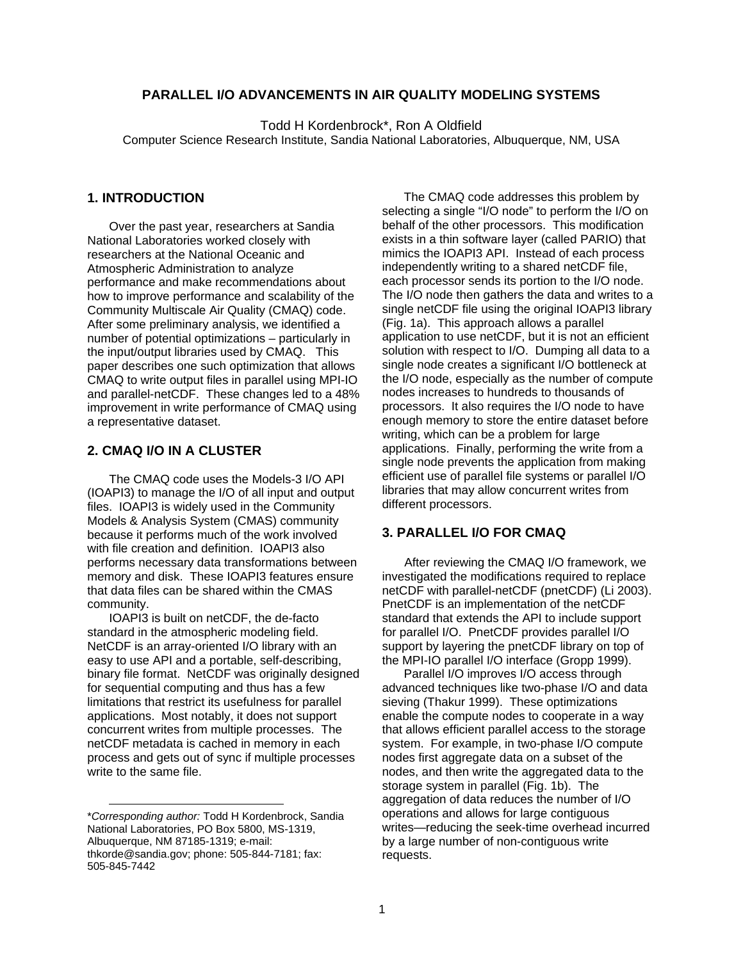## **PARALLEL I/O ADVANCEMENTS IN AIR QUALITY MODELING SYSTEMS**

Todd H Kordenbrock\*, Ron A Oldfield Computer Science Research Institute, Sandia National Laboratories, Albuquerque, NM, USA

#### **[1.](#page-0-0) INTRODUCTION**

Over the past year, researchers at Sandia National Laboratories worked closely with researchers at the National Oceanic and Atmospheric Administration to analyze performance and make recommendations about how to improve performance and scalability of the Community Multiscale Air Quality (CMAQ) code. After some preliminary analysis, we identified a number of potential optimizations – particularly in the input/output libraries used by CMAQ. This paper describes one such optimization that allows CMAQ to write output files in parallel using MPI-IO and parallel-netCDF. These changes led to a 48% improvement in write performance of CMAQ using a representative dataset.

### **2. CMAQ I/O IN A CLUSTER**

The CMAQ code uses the Models-3 I/O API (IOAPI3) to manage the I/O of all input and output files. IOAPI3 is widely used in the Community Models & Analysis System (CMAS) community because it performs much of the work involved with file creation and definition. IOAPI3 also performs necessary data transformations between memory and disk. These IOAPI3 features ensure that data files can be shared within the CMAS community.

IOAPI3 is built on netCDF, the de-facto standard in the atmospheric modeling field. NetCDF is an array-oriented I/O library with an easy to use API and a portable, self-describing, binary file format. NetCDF was originally designed for sequential computing and thus has a few limitations that restrict its usefulness for parallel applications. Most notably, it does not support concurrent writes from multiple processes. The netCDF metadata is cached in memory in each process and gets out of sync if multiple processes write to the same file.

l

The CMAQ code addresses this problem by selecting a single "I/O node" to perform the I/O on behalf of the other processors. This modification exists in a thin software layer (called PARIO) that mimics the IOAPI3 API. Instead of each process independently writing to a shared netCDF file, each processor sends its portion to the I/O node. The I/O node then gathers the data and writes to a single netCDF file using the original IOAPI3 library (Fig. 1a). This approach allows a parallel application to use netCDF, but it is not an efficient solution with respect to I/O. Dumping all data to a single node creates a significant I/O bottleneck at the I/O node, especially as the number of compute nodes increases to hundreds to thousands of processors. It also requires the I/O node to have enough memory to store the entire dataset before writing, which can be a problem for large applications. Finally, performing the write from a single node prevents the application from making efficient use of parallel file systems or parallel I/O libraries that may allow concurrent writes from different processors.

### **3. PARALLEL I/O FOR CMAQ**

After reviewing the CMAQ I/O framework, we investigated the modifications required to replace netCDF with parallel-netCDF (pnetCDF) (Li 2003). PnetCDF is an implementation of the netCDF standard that extends the API to include support for parallel I/O. PnetCDF provides parallel I/O support by layering the pnetCDF library on top of the MPI-IO parallel I/O interface (Gropp 1999).

Parallel I/O improves I/O access through advanced techniques like two-phase I/O and data sieving (Thakur 1999). These optimizations enable the compute nodes to cooperate in a way that allows efficient parallel access to the storage system. For example, in two-phase I/O compute nodes first aggregate data on a subset of the nodes, and then write the aggregated data to the storage system in parallel (Fig. 1b). The aggregation of data reduces the number of I/O operations and allows for large contiguous writes—reducing the seek-time overhead incurred by a large number of non-contiguous write requests.

<span id="page-0-0"></span><sup>\*</sup>*Corresponding author:* Todd H Kordenbrock, Sandia National Laboratories, PO Box 5800, MS-1319, Albuquerque, NM 87185-1319; e-mail: thkorde@sandia.gov; phone: 505-844-7181; fax: 505-845-7442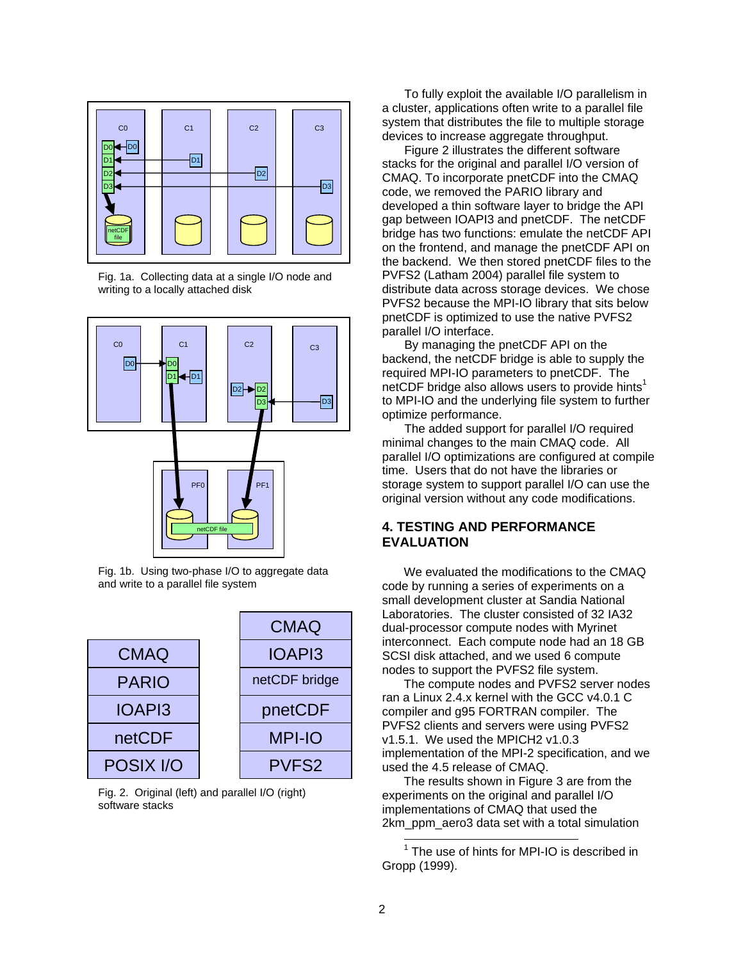

Fig. 1a. Collecting data at a single I/O node and writing to a locally attached disk





Fig. 1b. Using two-phase I/O to aggregate data and write to a parallel file system



Fig. 2. Original (left) and parallel I/O (right) software stacks

To fully exploit the available I/O parallelism in a cluster, applications often write to a parallel file system that distributes the file to multiple storage devices to increase aggregate throughput.

Figure 2 illustrates the different software stacks for the original and parallel I/O version of CMAQ. To incorporate pnetCDF into the CMAQ code, we removed the PARIO library and developed a thin software layer to bridge the API gap between IOAPI3 and pnetCDF. The netCDF bridge has two functions: emulate the netCDF API on the frontend, and manage the pnetCDF API on the backend. We then stored pnetCDF files to the PVFS2 (Latham 2004) parallel file system to distribute data across storage devices. We chose PVFS2 because the MPI-IO library that sits below pnetCDF is optimized to use the native PVFS2 parallel I/O interface.

By managing the pnetCDF API on the backend, the netCDF bridge is able to supply the required MPI-IO parameters to pnetCDF. The netCDF bridge also allows users to provide hints<sup>[1](#page-1-0)</sup> to MPI-IO and the underlying file system to further optimize performance.

The added support for parallel I/O required minimal changes to the main CMAQ code. All parallel I/O optimizations are configured at compile time. Users that do not have the libraries or storage system to support parallel I/O can use the original version without any code modifications.

## **4. TESTING AND PERFORMANCE EVALUATION**

We evaluated the modifications to the CMAQ code by running a series of experiments on a small development cluster at Sandia National Laboratories. The cluster consisted of 32 IA32 dual-processor compute nodes with Myrinet interconnect. Each compute node had an 18 GB SCSI disk attached, and we used 6 compute nodes to support the PVFS2 file system.

The compute nodes and PVFS2 server nodes ran a Linux 2.4.x kernel with the GCC v4.0.1 C compiler and g95 FORTRAN compiler. The PVFS2 clients and servers were using PVFS2 v1.5.1. We used the MPICH2 v1.0.3 implementation of the MPI-2 specification, and we used the 4.5 release of CMAQ.

The results shown in Figure 3 are from the experiments on the original and parallel I/O implementations of CMAQ that used the 2km\_ppm\_aero3 data set with a total simulation

<span id="page-1-0"></span> 1 The use of hints for MPI-IO is described in Gropp (1999).